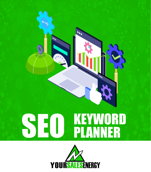

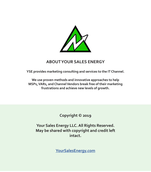

#### **ABOUT YOUR SALES ENERGY**

**YSE provides marketing consulting and services to the IT Channel.**

**We use proven methods and innovative approaches to help MSPs, VARs, and Channel Vendors break free of their marketing frustrations and achieve new levels of growth.**

**Copyright © 2019**

**Your Sales Energy LLC. All Rights Reserved. May be shared with copyright and credit left intact.**

**YourSalesEnergy.com**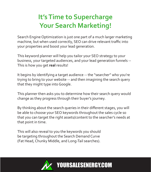## **It's Time to Supercharge Your Search Marketing!**

Search Engine Optimization is just one part of a much larger marketing machine, but when used correctly, SEO can drive relevant traffic into your properties and boost your lead generation.

This keyword planner will help you tailor your SEO strategy to your business, your targeted audiences, and your lead generation funnels -- This is how you get **real** results!

It begins by identifying a target audience -- the "searcher" who you're trying to bring to your website -- and then imagining the search query that they might type into Google.

This planner then asks you to determine how their search query would change as they progress through their buyer's journey.

By thinking about the search queries in their different stages, you will be able to choose your SEO keywords throughout the sales cycle so that you can target the right assets/content to the searcher's needs at that point in time.

This will also reveal to you the keywords you should be targeting throughout the Search Demand Curve (Fat Head, Chunky Middle, and Long-Tail searches).

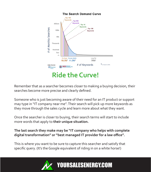

Remember that as a searcher becomes closer to making a buying decision, their searches become more precise and clearly defined.

Someone who is just becoming aware of their need for an IT product or support may type in "IT company near me". Their search will pick up more keywords as they move through the sales cycle and learn more about what they want.

Once the searcher is closer to buying, their search terms will start to include more words that apply to **their unique situation.**

#### **The last search they make may be "IT company who helps with complete digital transformation" or "best managed IT provider for a law office".**

This is where you want to be sure to capture this searcher and satisfy that specific query. (It's the Google equivalent of riding in on a white horse!)

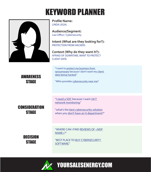# KEYWORD PLANNER



**Profile Name:** LINDA LEGAL

**Audience/Segment:** Law Office / Cybersecurity

**Intent (What are they looking for?):** PROTECTION FROM HACKERS

**Context (Why do they want it?):** AFRAID OF DOWNTIME, WANT TO PROTECT CLIENT DATA

AWARENESS **STAGE** 

"I want to protect my business from ransomware because I don't want my client data being hacked."

"WHo provides cybersecurity near me?

**CONSIDERATION STAGE** 

"I need a SOC because I want 24/7 network monitoring."

"what's the best cybersecurity solution when you don't have an it department?"

**DECISION STAGE** 

"WHERE CAN I FIND REVIEWS OF <MSP NAME>?"

"BEST PLACE TO BUY CYBERSECURITY SOFTWARE."



YOURSALESENERGY.COM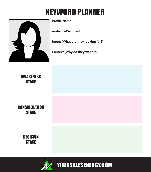# KEYWORD PLANNER



**Profile Name:**

**Audience/Segment:**

**Intent (What are they looking for?):**

**Context (Why do they want it?):**

AWARENESS **STAGE** 

**CONSIDERATION STAGE** 

> **DECISION STAGE**